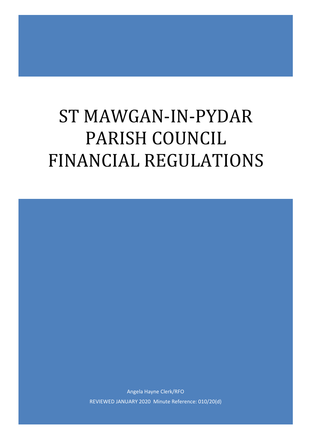# ST MAWGAN-IN-PYDAR PARISH COUNCIL FINANCIAL REGULATIONS

Angela Hayne Clerk/RFO REVIEWED JANUARY 2020 Minute Reference: 010/20(d)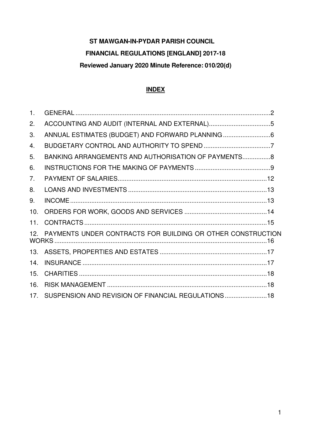# **ST MAWGAN-IN-PYDAR PARISH COUNCIL FINANCIAL REGULATIONS [ENGLAND] 2017-18 Reviewed January 2020 Minute Reference: 010/20(d)**

# **INDEX**

| $\mathbf{1}$ .  |                                                             |  |
|-----------------|-------------------------------------------------------------|--|
| 2.              |                                                             |  |
| 3.              |                                                             |  |
| 4.              |                                                             |  |
| 5.              | BANKING ARRANGEMENTS AND AUTHORISATION OF PAYMENTS8         |  |
| 6.              |                                                             |  |
| 7 <sub>1</sub>  |                                                             |  |
| 8.              |                                                             |  |
| 9.              |                                                             |  |
| 10.             |                                                             |  |
| 11.             |                                                             |  |
| 12.             | PAYMENTS UNDER CONTRACTS FOR BUILDING OR OTHER CONSTRUCTION |  |
| 13.             |                                                             |  |
| 14.             |                                                             |  |
| 15.             |                                                             |  |
| 16.             |                                                             |  |
| 17 <sub>1</sub> | SUSPENSION AND REVISION OF FINANCIAL REGULATIONS18          |  |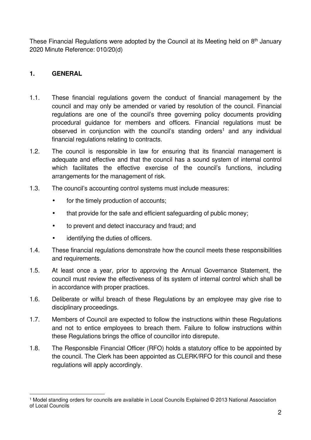These Financial Regulations were adopted by the Council at its Meeting held on  $8<sup>th</sup>$  January 2020 Minute Reference: 010/20(d)

# **1. GENERAL**

- 1.1. These financial regulations govern the conduct of financial management by the council and may only be amended or varied by resolution of the council. Financial regulations are one of the council's three governing policy documents providing procedural guidance for members and officers. Financial regulations must be observed in conjunction with the council's standing orders<sup>1</sup> and any individual financial regulations relating to contracts.
- 1.2. The council is responsible in law for ensuring that its financial management is adequate and effective and that the council has a sound system of internal control which facilitates the effective exercise of the council's functions, including arrangements for the management of risk.
- 1.3. The council's accounting control systems must include measures:
	- for the timely production of accounts;
	- that provide for the safe and efficient safeguarding of public money;
	- to prevent and detect inaccuracy and fraud; and
	- identifying the duties of officers.
- 1.4. These financial regulations demonstrate how the council meets these responsibilities and requirements.
- 1.5. At least once a year, prior to approving the Annual Governance Statement, the council must review the effectiveness of its system of internal control which shall be in accordance with proper practices.
- 1.6. Deliberate or wilful breach of these Regulations by an employee may give rise to disciplinary proceedings.
- 1.7. Members of Council are expected to follow the instructions within these Regulations and not to entice employees to breach them. Failure to follow instructions within these Regulations brings the office of councillor into disrepute.
- 1.8. The Responsible Financial Officer (RFO) holds a statutory office to be appointed by the council. The Clerk has been appointed as CLERK/RFO for this council and these regulations will apply accordingly.

<sup>1</sup> Model standing orders for councils are available in Local Councils Explained © 2013 National Association of Local Councils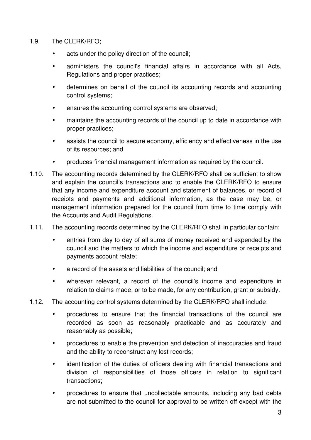- 1.9. The CLERK/RFO;
	- acts under the policy direction of the council;
	- administers the council's financial affairs in accordance with all Acts, Regulations and proper practices;
	- determines on behalf of the council its accounting records and accounting control systems;
	- ensures the accounting control systems are observed;
	- maintains the accounting records of the council up to date in accordance with proper practices;
	- assists the council to secure economy, efficiency and effectiveness in the use of its resources; and
	- produces financial management information as required by the council.
- 1.10. The accounting records determined by the CLERK/RFO shall be sufficient to show and explain the council's transactions and to enable the CLERK/RFO to ensure that any income and expenditure account and statement of balances, or record of receipts and payments and additional information, as the case may be, or management information prepared for the council from time to time comply with the Accounts and Audit Regulations.
- 1.11. The accounting records determined by the CLERK/RFO shall in particular contain:
	- entries from day to day of all sums of money received and expended by the council and the matters to which the income and expenditure or receipts and payments account relate;
	- a record of the assets and liabilities of the council; and
	- wherever relevant, a record of the council's income and expenditure in relation to claims made, or to be made, for any contribution, grant or subsidy.
- 1.12. The accounting control systems determined by the CLERK/RFO shall include:
	- procedures to ensure that the financial transactions of the council are recorded as soon as reasonably practicable and as accurately and reasonably as possible;
	- procedures to enable the prevention and detection of inaccuracies and fraud and the ability to reconstruct any lost records;
	- identification of the duties of officers dealing with financial transactions and division of responsibilities of those officers in relation to significant transactions;
	- procedures to ensure that uncollectable amounts, including any bad debts are not submitted to the council for approval to be written off except with the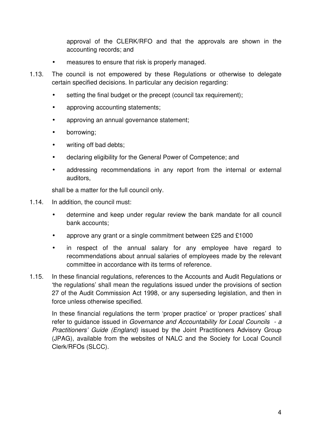approval of the CLERK/RFO and that the approvals are shown in the accounting records; and

- measures to ensure that risk is properly managed.
- 1.13. The council is not empowered by these Regulations or otherwise to delegate certain specified decisions. In particular any decision regarding:
	- setting the final budget or the precept (council tax requirement);
	- approving accounting statements;
	- approving an annual governance statement;
	- borrowing;
	- writing off bad debts:
	- declaring eligibility for the General Power of Competence; and
	- addressing recommendations in any report from the internal or external auditors,

shall be a matter for the full council only.

- 1.14. In addition, the council must:
	- determine and keep under regular review the bank mandate for all council bank accounts;
	- approve any grant or a single commitment between £25 and £1000
	- in respect of the annual salary for any employee have regard to recommendations about annual salaries of employees made by the relevant committee in accordance with its terms of reference.
- 1.15. In these financial regulations, references to the Accounts and Audit Regulations or 'the regulations' shall mean the regulations issued under the provisions of section 27 of the Audit Commission Act 1998, or any superseding legislation, and then in force unless otherwise specified.

In these financial regulations the term 'proper practice' or 'proper practices' shall refer to guidance issued in Governance and Accountability for Local Councils - a Practitioners' Guide (England) issued by the Joint Practitioners Advisory Group (JPAG), available from the websites of NALC and the Society for Local Council Clerk/RFOs (SLCC).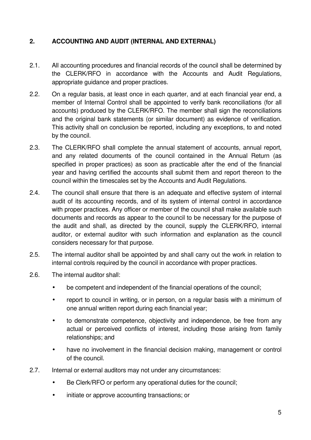# **2. ACCOUNTING AND AUDIT (INTERNAL AND EXTERNAL)**

- 2.1. All accounting procedures and financial records of the council shall be determined by the CLERK/RFO in accordance with the Accounts and Audit Regulations, appropriate guidance and proper practices.
- 2.2. On a regular basis, at least once in each quarter, and at each financial year end, a member of Internal Control shall be appointed to verify bank reconciliations (for all accounts) produced by the CLERK/RFO. The member shall sign the reconciliations and the original bank statements (or similar document) as evidence of verification. This activity shall on conclusion be reported, including any exceptions, to and noted by the council.
- 2.3. The CLERK/RFO shall complete the annual statement of accounts, annual report, and any related documents of the council contained in the Annual Return (as specified in proper practices) as soon as practicable after the end of the financial year and having certified the accounts shall submit them and report thereon to the council within the timescales set by the Accounts and Audit Regulations.
- 2.4. The council shall ensure that there is an adequate and effective system of internal audit of its accounting records, and of its system of internal control in accordance with proper practices. Any officer or member of the council shall make available such documents and records as appear to the council to be necessary for the purpose of the audit and shall, as directed by the council, supply the CLERK/RFO, internal auditor, or external auditor with such information and explanation as the council considers necessary for that purpose.
- 2.5. The internal auditor shall be appointed by and shall carry out the work in relation to internal controls required by the council in accordance with proper practices.
- 2.6. The internal auditor shall:
	- be competent and independent of the financial operations of the council;
	- report to council in writing, or in person, on a regular basis with a minimum of one annual written report during each financial year;
	- to demonstrate competence, objectivity and independence, be free from any actual or perceived conflicts of interest, including those arising from family relationships; and
	- have no involvement in the financial decision making, management or control of the council.
- 2.7. Internal or external auditors may not under any circumstances:
	- Be Clerk/RFO or perform any operational duties for the council;
	- initiate or approve accounting transactions; or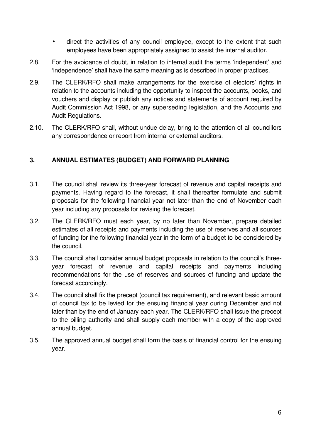- direct the activities of any council employee, except to the extent that such employees have been appropriately assigned to assist the internal auditor.
- 2.8. For the avoidance of doubt, in relation to internal audit the terms 'independent' and 'independence' shall have the same meaning as is described in proper practices.
- 2.9. The CLERK/RFO shall make arrangements for the exercise of electors' rights in relation to the accounts including the opportunity to inspect the accounts, books, and vouchers and display or publish any notices and statements of account required by Audit Commission Act 1998, or any superseding legislation, and the Accounts and Audit Regulations.
- 2.10. The CLERK/RFO shall, without undue delay, bring to the attention of all councillors any correspondence or report from internal or external auditors.

#### **3. ANNUAL ESTIMATES (BUDGET) AND FORWARD PLANNING**

- 3.1. The council shall review its three-year forecast of revenue and capital receipts and payments. Having regard to the forecast, it shall thereafter formulate and submit proposals for the following financial year not later than the end of November each year including any proposals for revising the forecast.
- 3.2. The CLERK/RFO must each year, by no later than November, prepare detailed estimates of all receipts and payments including the use of reserves and all sources of funding for the following financial year in the form of a budget to be considered by the council.
- 3.3. The council shall consider annual budget proposals in relation to the council's threeyear forecast of revenue and capital receipts and payments including recommendations for the use of reserves and sources of funding and update the forecast accordingly.
- 3.4. The council shall fix the precept (council tax requirement), and relevant basic amount of council tax to be levied for the ensuing financial year during December and not later than by the end of January each year. The CLERK/RFO shall issue the precept to the billing authority and shall supply each member with a copy of the approved annual budget.
- 3.5. The approved annual budget shall form the basis of financial control for the ensuing year.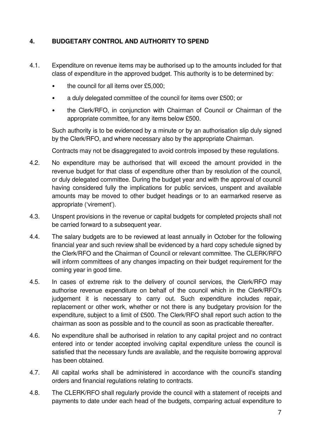# **4. BUDGETARY CONTROL AND AUTHORITY TO SPEND**

- 4.1. Expenditure on revenue items may be authorised up to the amounts included for that class of expenditure in the approved budget. This authority is to be determined by:
	- the council for all items over £5,000;
	- a duly delegated committee of the council for items over £500; or
	- the Clerk/RFO, in conjunction with Chairman of Council or Chairman of the appropriate committee, for any items below £500.

Such authority is to be evidenced by a minute or by an authorisation slip duly signed by the Clerk/RFO, and where necessary also by the appropriate Chairman.

Contracts may not be disaggregated to avoid controls imposed by these regulations.

- 4.2. No expenditure may be authorised that will exceed the amount provided in the revenue budget for that class of expenditure other than by resolution of the council, or duly delegated committee. During the budget year and with the approval of council having considered fully the implications for public services, unspent and available amounts may be moved to other budget headings or to an earmarked reserve as appropriate ('virement').
- 4.3. Unspent provisions in the revenue or capital budgets for completed projects shall not be carried forward to a subsequent year.
- 4.4. The salary budgets are to be reviewed at least annually in October for the following financial year and such review shall be evidenced by a hard copy schedule signed by the Clerk/RFO and the Chairman of Council or relevant committee. The CLERK/RFO will inform committees of any changes impacting on their budget requirement for the coming year in good time.
- 4.5. In cases of extreme risk to the delivery of council services, the Clerk/RFO may authorise revenue expenditure on behalf of the council which in the Clerk/RFO's judgement it is necessary to carry out. Such expenditure includes repair, replacement or other work, whether or not there is any budgetary provision for the expenditure, subject to a limit of £500. The Clerk/RFO shall report such action to the chairman as soon as possible and to the council as soon as practicable thereafter.
- 4.6. No expenditure shall be authorised in relation to any capital project and no contract entered into or tender accepted involving capital expenditure unless the council is satisfied that the necessary funds are available, and the requisite borrowing approval has been obtained.
- 4.7. All capital works shall be administered in accordance with the council's standing orders and financial regulations relating to contracts.
- 4.8. The CLERK/RFO shall regularly provide the council with a statement of receipts and payments to date under each head of the budgets, comparing actual expenditure to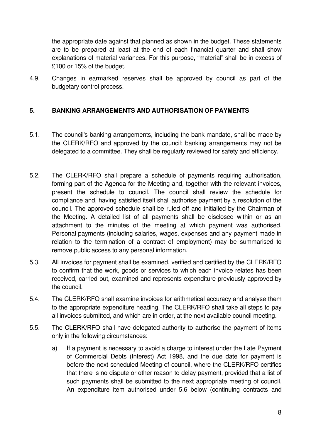the appropriate date against that planned as shown in the budget. These statements are to be prepared at least at the end of each financial quarter and shall show explanations of material variances. For this purpose, "material" shall be in excess of £100 or 15% of the budget.

4.9. Changes in earmarked reserves shall be approved by council as part of the budgetary control process.

#### **5. BANKING ARRANGEMENTS AND AUTHORISATION OF PAYMENTS**

- 5.1. The council's banking arrangements, including the bank mandate, shall be made by the CLERK/RFO and approved by the council; banking arrangements may not be delegated to a committee. They shall be regularly reviewed for safety and efficiency.
- 5.2. The CLERK/RFO shall prepare a schedule of payments requiring authorisation, forming part of the Agenda for the Meeting and, together with the relevant invoices, present the schedule to council. The council shall review the schedule for compliance and, having satisfied itself shall authorise payment by a resolution of the council. The approved schedule shall be ruled off and initialled by the Chairman of the Meeting. A detailed list of all payments shall be disclosed within or as an attachment to the minutes of the meeting at which payment was authorised. Personal payments (including salaries, wages, expenses and any payment made in relation to the termination of a contract of employment) may be summarised to remove public access to any personal information.
- 5.3. All invoices for payment shall be examined, verified and certified by the CLERK/RFO to confirm that the work, goods or services to which each invoice relates has been received, carried out, examined and represents expenditure previously approved by the council.
- 5.4. The CLERK/RFO shall examine invoices for arithmetical accuracy and analyse them to the appropriate expenditure heading. The CLERK/RFO shall take all steps to pay all invoices submitted, and which are in order, at the next available council meeting.
- 5.5. The CLERK/RFO shall have delegated authority to authorise the payment of items only in the following circumstances:
	- a) If a payment is necessary to avoid a charge to interest under the Late Payment of Commercial Debts (Interest) Act 1998, and the due date for payment is before the next scheduled Meeting of council, where the CLERK/RFO certifies that there is no dispute or other reason to delay payment, provided that a list of such payments shall be submitted to the next appropriate meeting of council. An expenditure item authorised under 5.6 below (continuing contracts and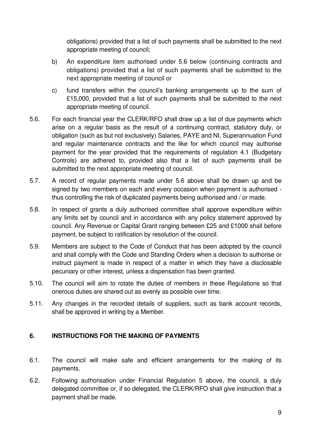obligations) provided that a list of such payments shall be submitted to the next appropriate meeting of council;

- b) An expenditure item authorised under 5.6 below (continuing contracts and obligations) provided that a list of such payments shall be submitted to the next appropriate meeting of council or
- c) fund transfers within the council's banking arrangements up to the sum of £15,000, provided that a list of such payments shall be submitted to the next appropriate meeting of council.
- 5.6. For each financial year the CLERK/RFO shall draw up a list of due payments which arise on a regular basis as the result of a continuing contract, statutory duty, or obligation (such as but not exclusively) Salaries, PAYE and NI, Superannuation Fund and regular maintenance contracts and the like for which council may authorise payment for the year provided that the requirements of regulation 4.1 (Budgetary Controls) are adhered to, provided also that a list of such payments shall be submitted to the next appropriate meeting of council.
- 5.7. A record of regular payments made under 5.6 above shall be drawn up and be signed by two members on each and every occasion when payment is authorised thus controlling the risk of duplicated payments being authorised and / or made.
- 5.8. In respect of grants a duly authorised committee shall approve expenditure within any limits set by council and in accordance with any policy statement approved by council. Any Revenue or Capital Grant ranging between £25 and £1000 shall before payment, be subject to ratification by resolution of the council.
- 5.9. Members are subject to the Code of Conduct that has been adopted by the council and shall comply with the Code and Standing Orders when a decision to authorise or instruct payment is made in respect of a matter in which they have a disclosable pecuniary or other interest, unless a dispensation has been granted.
- 5.10. The council will aim to rotate the duties of members in these Regulations so that onerous duties are shared out as evenly as possible over time.
- 5.11. Any changes in the recorded details of suppliers, such as bank account records, shall be approved in writing by a Member.

#### **6. INSTRUCTIONS FOR THE MAKING OF PAYMENTS**

- 6.1. The council will make safe and efficient arrangements for the making of its payments.
- 6.2. Following authorisation under Financial Regulation 5 above, the council, a duly delegated committee or, if so delegated, the CLERK/RFO shall give instruction that a payment shall be made.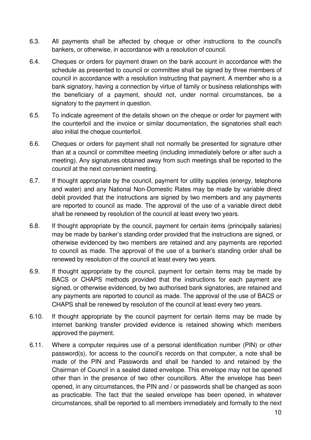- 6.3. All payments shall be affected by cheque or other instructions to the council's bankers, or otherwise, in accordance with a resolution of council.
- 6.4. Cheques or orders for payment drawn on the bank account in accordance with the schedule as presented to council or committee shall be signed by three members of council in accordance with a resolution instructing that payment. A member who is a bank signatory, having a connection by virtue of family or business relationships with the beneficiary of a payment, should not, under normal circumstances, be a signatory to the payment in question.
- 6.5. To indicate agreement of the details shown on the cheque or order for payment with the counterfoil and the invoice or similar documentation, the signatories shall each also initial the cheque counterfoil.
- 6.6. Cheques or orders for payment shall not normally be presented for signature other than at a council or committee meeting (including immediately before or after such a meeting). Any signatures obtained away from such meetings shall be reported to the council at the next convenient meeting.
- 6.7. If thought appropriate by the council, payment for utility supplies (energy, telephone and water) and any National Non-Domestic Rates may be made by variable direct debit provided that the instructions are signed by two members and any payments are reported to council as made. The approval of the use of a variable direct debit shall be renewed by resolution of the council at least every two years.
- 6.8. If thought appropriate by the council, payment for certain items (principally salaries) may be made by banker's standing order provided that the instructions are signed, or otherwise evidenced by two members are retained and any payments are reported to council as made. The approval of the use of a banker's standing order shall be renewed by resolution of the council at least every two years.
- 6.9. If thought appropriate by the council, payment for certain items may be made by BACS or CHAPS methods provided that the instructions for each payment are signed, or otherwise evidenced, by two authorised bank signatories, are retained and any payments are reported to council as made. The approval of the use of BACS or CHAPS shall be renewed by resolution of the council at least every two years.
- 6.10. If thought appropriate by the council payment for certain items may be made by internet banking transfer provided evidence is retained showing which members approved the payment.
- 6.11. Where a computer requires use of a personal identification number (PIN) or other password(s), for access to the council's records on that computer, a note shall be made of the PIN and Passwords and shall be handed to and retained by the Chairman of Council in a sealed dated envelope. This envelope may not be opened other than in the presence of two other councillors. After the envelope has been opened, in any circumstances, the PIN and / or passwords shall be changed as soon as practicable. The fact that the sealed envelope has been opened, in whatever circumstances, shall be reported to all members immediately and formally to the next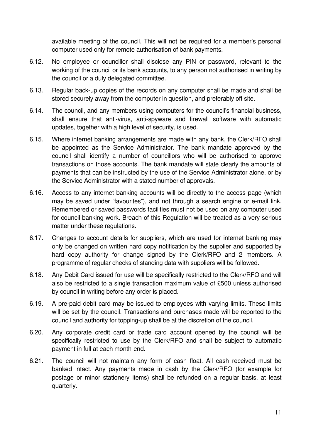available meeting of the council. This will not be required for a member's personal computer used only for remote authorisation of bank payments.

- 6.12. No employee or councillor shall disclose any PIN or password, relevant to the working of the council or its bank accounts, to any person not authorised in writing by the council or a duly delegated committee.
- 6.13. Regular back-up copies of the records on any computer shall be made and shall be stored securely away from the computer in question, and preferably off site.
- 6.14. The council, and any members using computers for the council's financial business, shall ensure that anti-virus, anti-spyware and firewall software with automatic updates, together with a high level of security, is used.
- 6.15. Where internet banking arrangements are made with any bank, the Clerk/RFO shall be appointed as the Service Administrator. The bank mandate approved by the council shall identify a number of councillors who will be authorised to approve transactions on those accounts. The bank mandate will state clearly the amounts of payments that can be instructed by the use of the Service Administrator alone, or by the Service Administrator with a stated number of approvals.
- 6.16. Access to any internet banking accounts will be directly to the access page (which may be saved under "favourites"), and not through a search engine or e-mail link. Remembered or saved passwords facilities must not be used on any computer used for council banking work. Breach of this Regulation will be treated as a very serious matter under these regulations.
- 6.17. Changes to account details for suppliers, which are used for internet banking may only be changed on written hard copy notification by the supplier and supported by hard copy authority for change signed by the Clerk/RFO and 2 members. A programme of regular checks of standing data with suppliers will be followed.
- 6.18. Any Debit Card issued for use will be specifically restricted to the Clerk/RFO and will also be restricted to a single transaction maximum value of £500 unless authorised by council in writing before any order is placed.
- 6.19. A pre-paid debit card may be issued to employees with varying limits. These limits will be set by the council. Transactions and purchases made will be reported to the council and authority for topping-up shall be at the discretion of the council.
- 6.20. Any corporate credit card or trade card account opened by the council will be specifically restricted to use by the Clerk/RFO and shall be subject to automatic payment in full at each month-end.
- 6.21. The council will not maintain any form of cash float. All cash received must be banked intact. Any payments made in cash by the Clerk/RFO (for example for postage or minor stationery items) shall be refunded on a regular basis, at least quarterly.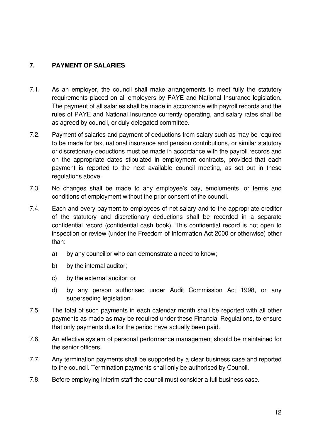# **7. PAYMENT OF SALARIES**

- 7.1. As an employer, the council shall make arrangements to meet fully the statutory requirements placed on all employers by PAYE and National Insurance legislation. The payment of all salaries shall be made in accordance with payroll records and the rules of PAYE and National Insurance currently operating, and salary rates shall be as agreed by council, or duly delegated committee.
- 7.2. Payment of salaries and payment of deductions from salary such as may be required to be made for tax, national insurance and pension contributions, or similar statutory or discretionary deductions must be made in accordance with the payroll records and on the appropriate dates stipulated in employment contracts, provided that each payment is reported to the next available council meeting, as set out in these regulations above.
- 7.3. No changes shall be made to any employee's pay, emoluments, or terms and conditions of employment without the prior consent of the council.
- 7.4. Each and every payment to employees of net salary and to the appropriate creditor of the statutory and discretionary deductions shall be recorded in a separate confidential record (confidential cash book). This confidential record is not open to inspection or review (under the Freedom of Information Act 2000 or otherwise) other than:
	- a) by any councillor who can demonstrate a need to know;
	- b) by the internal auditor;
	- c) by the external auditor; or
	- d) by any person authorised under Audit Commission Act 1998, or any superseding legislation.
- 7.5. The total of such payments in each calendar month shall be reported with all other payments as made as may be required under these Financial Regulations, to ensure that only payments due for the period have actually been paid.
- 7.6. An effective system of personal performance management should be maintained for the senior officers.
- 7.7. Any termination payments shall be supported by a clear business case and reported to the council. Termination payments shall only be authorised by Council.
- 7.8. Before employing interim staff the council must consider a full business case.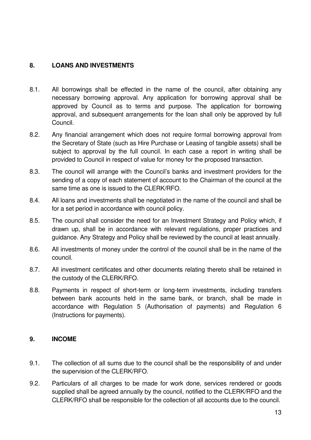#### **8. LOANS AND INVESTMENTS**

- 8.1. All borrowings shall be effected in the name of the council, after obtaining any necessary borrowing approval. Any application for borrowing approval shall be approved by Council as to terms and purpose. The application for borrowing approval, and subsequent arrangements for the loan shall only be approved by full Council.
- 8.2. Any financial arrangement which does not require formal borrowing approval from the Secretary of State (such as Hire Purchase or Leasing of tangible assets) shall be subject to approval by the full council. In each case a report in writing shall be provided to Council in respect of value for money for the proposed transaction.
- 8.3. The council will arrange with the Council's banks and investment providers for the sending of a copy of each statement of account to the Chairman of the council at the same time as one is issued to the CLERK/RFO.
- 8.4. All loans and investments shall be negotiated in the name of the council and shall be for a set period in accordance with council policy.
- 8.5. The council shall consider the need for an Investment Strategy and Policy which, if drawn up, shall be in accordance with relevant regulations, proper practices and guidance. Any Strategy and Policy shall be reviewed by the council at least annually.
- 8.6. All investments of money under the control of the council shall be in the name of the council.
- 8.7. All investment certificates and other documents relating thereto shall be retained in the custody of the CLERK/RFO.
- 8.8. Payments in respect of short-term or long-term investments, including transfers between bank accounts held in the same bank, or branch, shall be made in accordance with Regulation 5 (Authorisation of payments) and Regulation 6 (Instructions for payments).

#### **9. INCOME**

- 9.1. The collection of all sums due to the council shall be the responsibility of and under the supervision of the CLERK/RFO.
- 9.2. Particulars of all charges to be made for work done, services rendered or goods supplied shall be agreed annually by the council, notified to the CLERK/RFO and the CLERK/RFO shall be responsible for the collection of all accounts due to the council.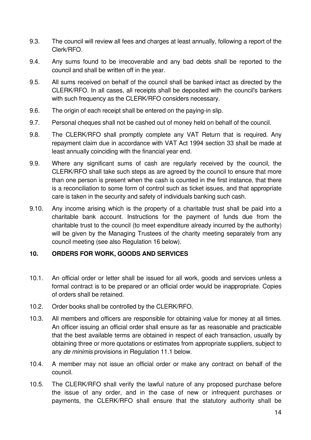- 9.3. The council will review all fees and charges at least annually, following a report of the Clerk/RFO.
- 9.4. Any sums found to be irrecoverable and any bad debts shall be reported to the council and shall be written off in the year.
- 9.5. All sums received on behalf of the council shall be banked intact as directed by the CLERK/RFO. In all cases, all receipts shall be deposited with the council's bankers with such frequency as the CLERK/RFO considers necessary.
- 9.6. The origin of each receipt shall be entered on the paying-in slip.
- 9.7. Personal cheques shall not be cashed out of money held on behalf of the council.
- 9.8. The CLERK/RFO shall promptly complete any VAT Return that is required. Any repayment claim due in accordance with VAT Act 1994 section 33 shall be made at least annually coinciding with the financial year end.
- 9.9. Where any significant sums of cash are regularly received by the council, the CLERK/RFO shall take such steps as are agreed by the council to ensure that more than one person is present when the cash is counted in the first instance, that there is a reconciliation to some form of control such as ticket issues, and that appropriate care is taken in the security and safety of individuals banking such cash.
- 9.10. Any income arising which is the property of a charitable trust shall be paid into a charitable bank account. Instructions for the payment of funds due from the charitable trust to the council (to meet expenditure already incurred by the authority) will be given by the Managing Trustees of the charity meeting separately from any council meeting (see also Regulation 16 below).

#### **10. ORDERS FOR WORK, GOODS AND SERVICES**

- 10.1. An official order or letter shall be issued for all work, goods and services unless a formal contract is to be prepared or an official order would be inappropriate. Copies of orders shall be retained.
- 10.2. Order books shall be controlled by the CLERK/RFO.
- 10.3. All members and officers are responsible for obtaining value for money at all times. An officer issuing an official order shall ensure as far as reasonable and practicable that the best available terms are obtained in respect of each transaction, usually by obtaining three or more quotations or estimates from appropriate suppliers, subject to any de minimis provisions in Regulation 11.1 below.
- 10.4. A member may not issue an official order or make any contract on behalf of the council.
- 10.5. The CLERK/RFO shall verify the lawful nature of any proposed purchase before the issue of any order, and in the case of new or infrequent purchases or payments, the CLERK/RFO shall ensure that the statutory authority shall be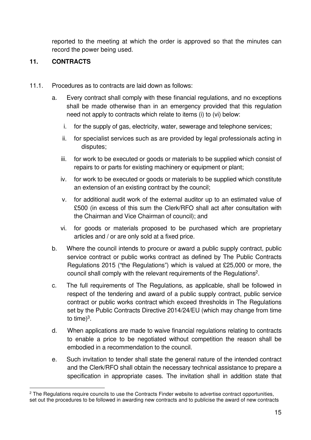reported to the meeting at which the order is approved so that the minutes can record the power being used.

# **11. CONTRACTS**

- 11.1. Procedures as to contracts are laid down as follows:
	- a. Every contract shall comply with these financial regulations, and no exceptions shall be made otherwise than in an emergency provided that this regulation need not apply to contracts which relate to items (i) to (vi) below:
		- i. for the supply of gas, electricity, water, sewerage and telephone services;
		- ii. for specialist services such as are provided by legal professionals acting in disputes;
		- iii. for work to be executed or goods or materials to be supplied which consist of repairs to or parts for existing machinery or equipment or plant;
		- iv. for work to be executed or goods or materials to be supplied which constitute an extension of an existing contract by the council;
		- v. for additional audit work of the external auditor up to an estimated value of £500 (in excess of this sum the Clerk/RFO shall act after consultation with the Chairman and Vice Chairman of council); and
		- vi. for goods or materials proposed to be purchased which are proprietary articles and / or are only sold at a fixed price.
	- b. Where the council intends to procure or award a public supply contract, public service contract or public works contract as defined by The Public Contracts Regulations 2015 ("the Regulations") which is valued at £25,000 or more, the council shall comply with the relevant requirements of the Regulations<sup>2</sup>.
	- c. The full requirements of The Regulations, as applicable, shall be followed in respect of the tendering and award of a public supply contract, public service contract or public works contract which exceed thresholds in The Regulations set by the Public Contracts Directive 2014/24/EU (which may change from time to time)<sup>3</sup>.
	- d. When applications are made to waive financial regulations relating to contracts to enable a price to be negotiated without competition the reason shall be embodied in a recommendation to the council.
	- e. Such invitation to tender shall state the general nature of the intended contract and the Clerk/RFO shall obtain the necessary technical assistance to prepare a specification in appropriate cases. The invitation shall in addition state that

<sup>&</sup>lt;sup>2</sup> The Regulations require councils to use the Contracts Finder website to advertise contract opportunities, set out the procedures to be followed in awarding new contracts and to publicise the award of new contracts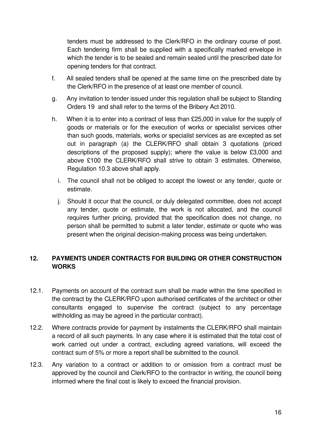tenders must be addressed to the Clerk/RFO in the ordinary course of post. Each tendering firm shall be supplied with a specifically marked envelope in which the tender is to be sealed and remain sealed until the prescribed date for opening tenders for that contract.

- f. All sealed tenders shall be opened at the same time on the prescribed date by the Clerk/RFO in the presence of at least one member of council.
- g. Any invitation to tender issued under this regulation shall be subject to Standing Orders 19 and shall refer to the terms of the Bribery Act 2010.
- h. When it is to enter into a contract of less than £25,000 in value for the supply of goods or materials or for the execution of works or specialist services other than such goods, materials, works or specialist services as are excepted as set out in paragraph (a) the CLERK/RFO shall obtain 3 quotations (priced descriptions of the proposed supply); where the value is below £3,000 and above £100 the CLERK/RFO shall strive to obtain 3 estimates. Otherwise, Regulation 10.3 above shall apply.
	- i. The council shall not be obliged to accept the lowest or any tender, quote or estimate.
	- j. Should it occur that the council, or duly delegated committee, does not accept any tender, quote or estimate, the work is not allocated, and the council requires further pricing, provided that the specification does not change, no person shall be permitted to submit a later tender, estimate or quote who was present when the original decision-making process was being undertaken.

#### **12. PAYMENTS UNDER CONTRACTS FOR BUILDING OR OTHER CONSTRUCTION WORKS**

- 12.1. Payments on account of the contract sum shall be made within the time specified in the contract by the CLERK/RFO upon authorised certificates of the architect or other consultants engaged to supervise the contract (subject to any percentage withholding as may be agreed in the particular contract).
- 12.2. Where contracts provide for payment by instalments the CLERK/RFO shall maintain a record of all such payments. In any case where it is estimated that the total cost of work carried out under a contract, excluding agreed variations, will exceed the contract sum of 5% or more a report shall be submitted to the council.
- 12.3. Any variation to a contract or addition to or omission from a contract must be approved by the council and Clerk/RFO to the contractor in writing, the council being informed where the final cost is likely to exceed the financial provision.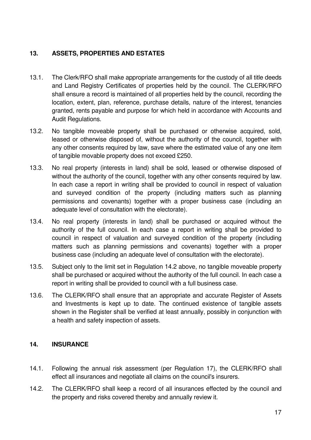# **13. ASSETS, PROPERTIES AND ESTATES**

- 13.1. The Clerk/RFO shall make appropriate arrangements for the custody of all title deeds and Land Registry Certificates of properties held by the council. The CLERK/RFO shall ensure a record is maintained of all properties held by the council, recording the location, extent, plan, reference, purchase details, nature of the interest, tenancies granted, rents payable and purpose for which held in accordance with Accounts and Audit Regulations.
- 13.2. No tangible moveable property shall be purchased or otherwise acquired, sold, leased or otherwise disposed of, without the authority of the council, together with any other consents required by law, save where the estimated value of any one item of tangible movable property does not exceed £250.
- 13.3. No real property (interests in land) shall be sold, leased or otherwise disposed of without the authority of the council, together with any other consents required by law. In each case a report in writing shall be provided to council in respect of valuation and surveyed condition of the property (including matters such as planning permissions and covenants) together with a proper business case (including an adequate level of consultation with the electorate).
- 13.4. No real property (interests in land) shall be purchased or acquired without the authority of the full council. In each case a report in writing shall be provided to council in respect of valuation and surveyed condition of the property (including matters such as planning permissions and covenants) together with a proper business case (including an adequate level of consultation with the electorate).
- 13.5. Subject only to the limit set in Regulation 14.2 above, no tangible moveable property shall be purchased or acquired without the authority of the full council. In each case a report in writing shall be provided to council with a full business case.
- 13.6. The CLERK/RFO shall ensure that an appropriate and accurate Register of Assets and Investments is kept up to date. The continued existence of tangible assets shown in the Register shall be verified at least annually, possibly in conjunction with a health and safety inspection of assets.

#### **14. INSURANCE**

- 14.1. Following the annual risk assessment (per Regulation 17), the CLERK/RFO shall effect all insurances and negotiate all claims on the council's insurers.
- 14.2. The CLERK/RFO shall keep a record of all insurances effected by the council and the property and risks covered thereby and annually review it.